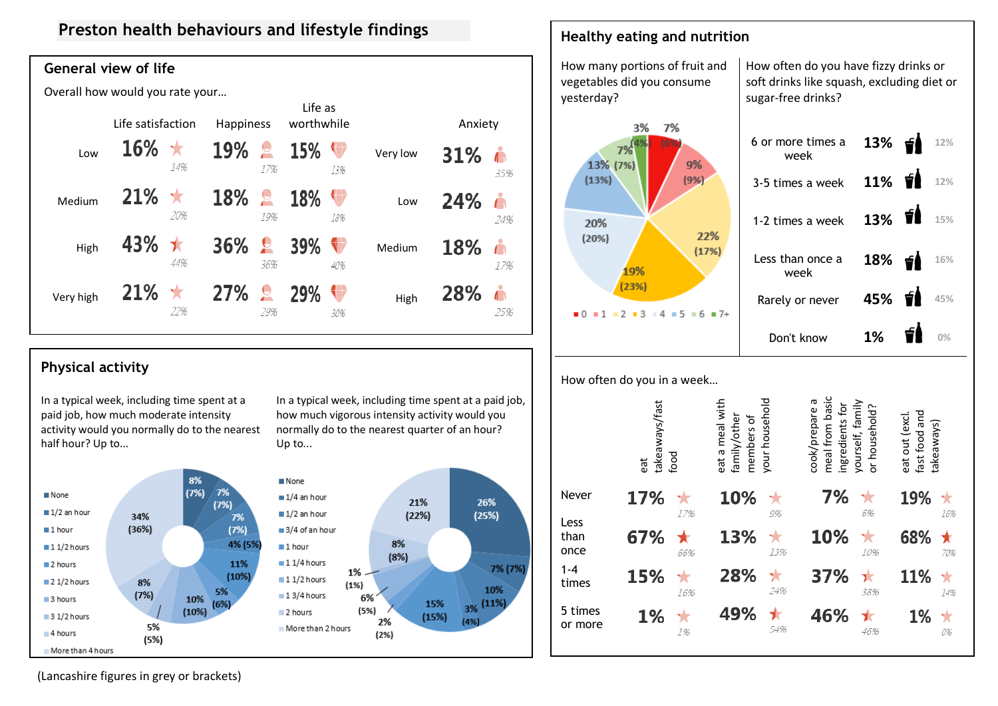# **Preston health behaviours and lifestyle findings**

## **General view of life**

Overall how would you rate your…

|           | Life satisfaction |     | Happiness  |                                |     | Life as<br>worthwhile |          | Anxiety |          |  |
|-----------|-------------------|-----|------------|--------------------------------|-----|-----------------------|----------|---------|----------|--|
| Low       | <b>16%</b>        | 14% | <b>19%</b> | $\overline{\mathbf{c}}$<br>17% | 15% | 13%                   | Very low | 31%     | 35%      |  |
| Medium    | 21%               | 20% | <b>18%</b> | $\epsilon$<br>19%              | 18% | 18%                   | Low      | 24%     | Ă<br>24% |  |
| High      | 43%               | 44% | 36%        | $\mathbf{R}$<br>36%            | 39% | 40%                   | Medium   | 18%     | 17%      |  |
| Very high | 21%               | 22% | <b>27%</b> | $\mathbf{R}$<br>29%            | 29% | 30%                   | High     | 28%     | 25%      |  |



## **Physical activity**

In a typical week, including time spent at a paid job, how much moderate intensity activity would you normally do to the nearest half hour? Up to...



In a typical week, including time spent at a paid job, how much vigorous intensity activity would you normally do to the nearest quarter of an hour? Up to...



#### How often do you in a week…

**Healthy eating and nutrition**

|                      | takeaways/fast<br>food<br>eat |     | your household<br>eat a meal with<br>family/other<br>members of |          | meal from basic<br>cook/prepare a<br>yourself, family<br>ingredients for<br>or household? |           | fast food and<br>eat out (excl.<br>takeaways |     |
|----------------------|-------------------------------|-----|-----------------------------------------------------------------|----------|-------------------------------------------------------------------------------------------|-----------|----------------------------------------------|-----|
| Never                | 17%                           | 17% | 10%                                                             | 9%       | 7%                                                                                        | ×<br>6%   | 19%                                          | 16% |
| Less<br>than<br>once | 67%                           | 66% | 13%                                                             | 13%      | 10%                                                                                       | ×<br>10%  | 68%                                          | 70% |
| $1 - 4$<br>times     | 15%                           | 16% | 28%                                                             | ★<br>24% | 37%                                                                                       | ٦t<br>38% | 11%                                          | 14% |
| 5 times<br>or more   | 1%                            | 1%  | 49%                                                             | 54%      | 46%                                                                                       | 46%       | 1%                                           | 0%  |

(Lancashire figures in grey or brackets)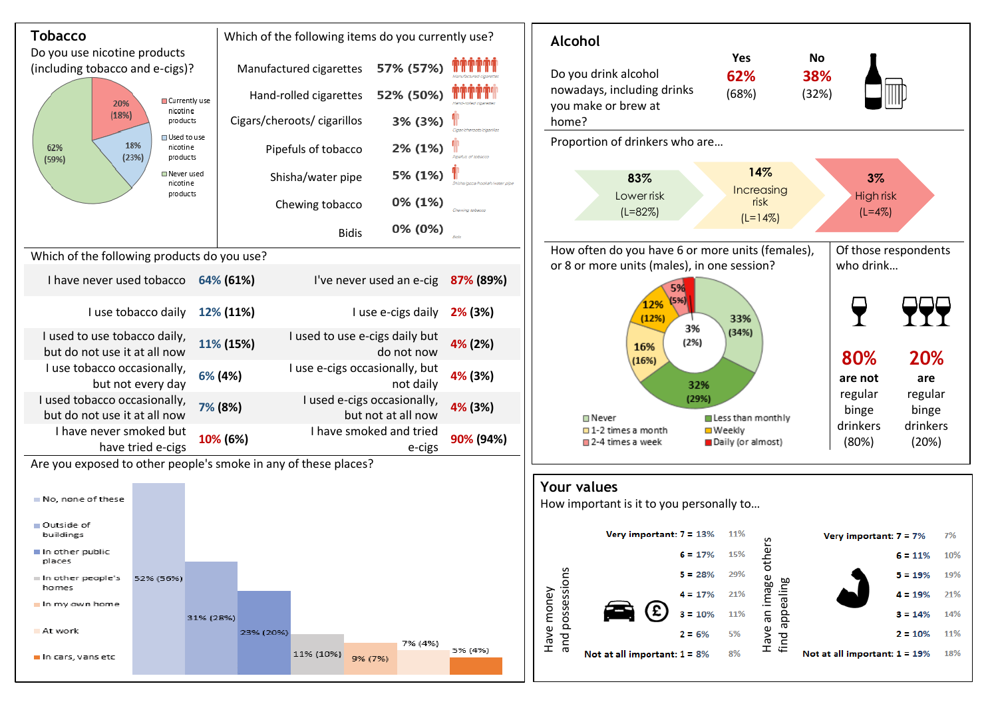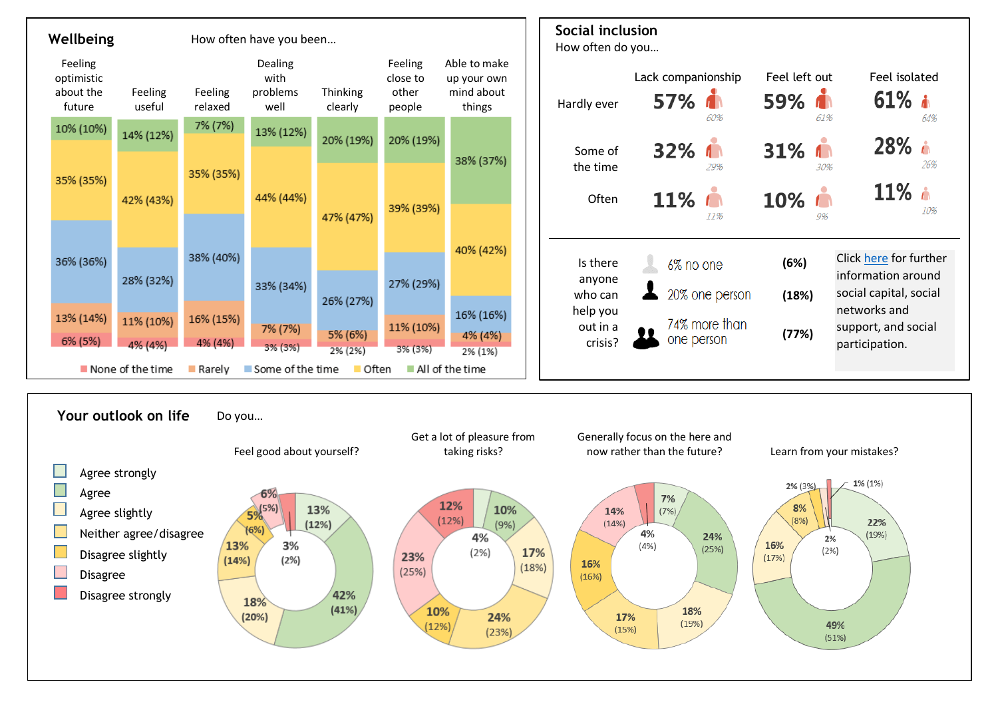

Disagree strongly

18%

 $(20%)$ 

 $(41%)$ 

24%

 $(23%)$ 

10%

 $(12%)$ 

49%

 $(51%)$ 

18%

 $(19%)$ 

17%

 $(15%)$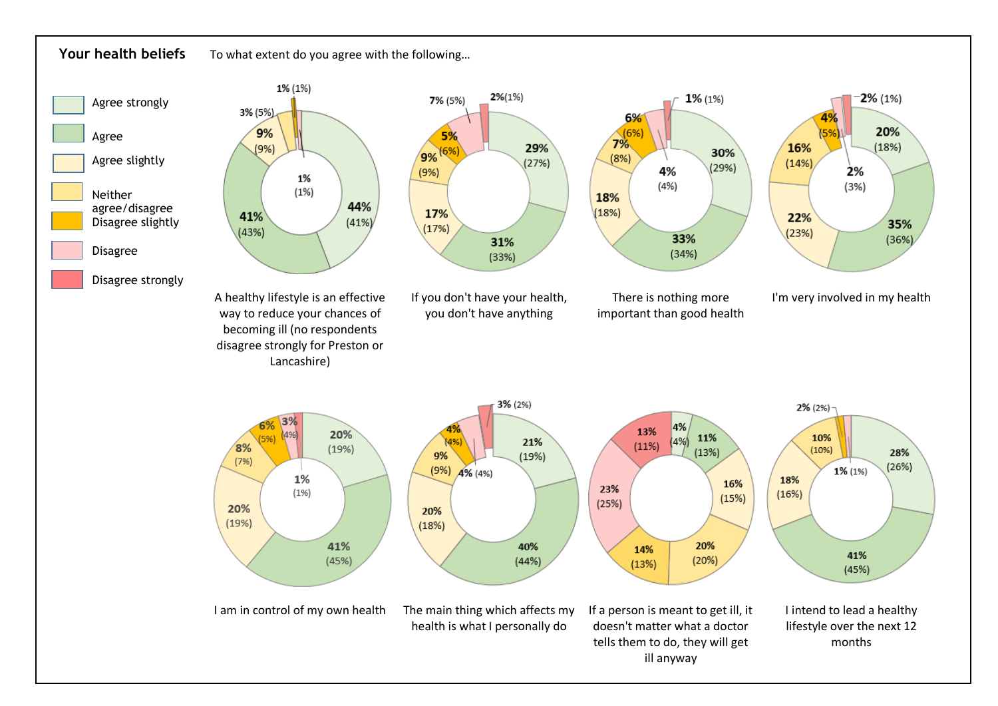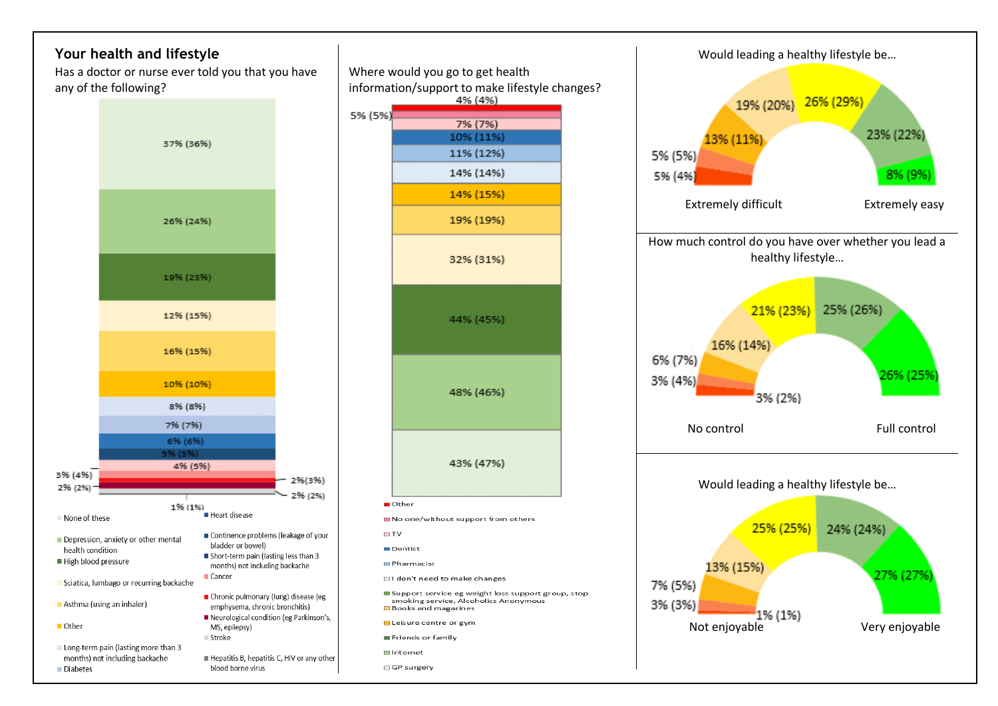



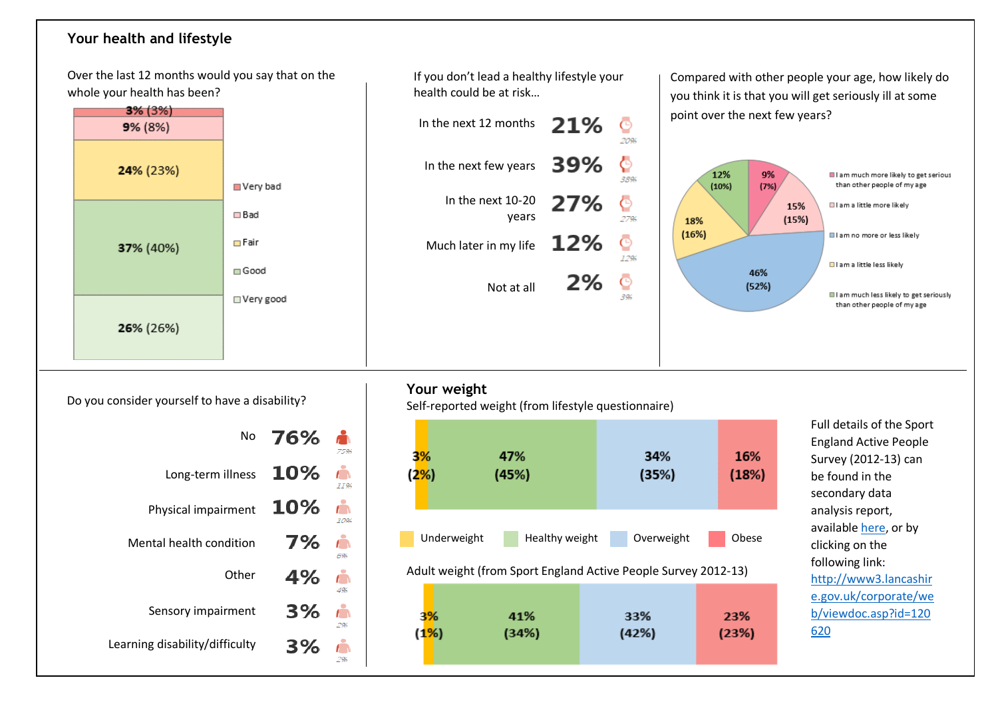### **Your health and lifestyle**

Over the last 12 months would you say that on the whole your health has been?



If you don't lead a healthy lifestyle your health could be at risk…

|     |     | In the next 12 months $21\%$          |
|-----|-----|---------------------------------------|
|     |     | In the next few years $\mathbf{39\%}$ |
| - O | 27% | In the next 10-20<br>vears            |
|     | 12% | Much later in my life                 |
|     | 270 | Not at all                            |

Compared with other people your age, how likely do you think it is that you will get seriously ill at some point over the next few years?



Do you consider yourself to have a disability?

| No                             | 76% |     |
|--------------------------------|-----|-----|
| Long-term illness              | 10% |     |
| Physical impairment            | 10% |     |
| Mental health condition        | 7%  | 694 |
| Other                          | 4%  |     |
| Sensory impairment             | 3%  | 296 |
| Learning disability/difficulty | 3%  |     |

### **Your weight**

Self-reported weight (from lifestyle questionnaire)



396

Full details of the Sport England Active People Survey (2012-13) can be found in the secondary data analysis report, available [here,](http://www3.lancashire.gov.uk/corporate/web/viewdoc.asp?id=120620) or by clicking on the following link: [http://www3.lancashir](http://www3.lancashire.gov.uk/corporate/web/viewdoc.asp?id=120620) [e.gov.uk/corporate/we](http://www3.lancashire.gov.uk/corporate/web/viewdoc.asp?id=120620) [b/viewdoc.asp?id=120](http://www3.lancashire.gov.uk/corporate/web/viewdoc.asp?id=120620) [620](http://www3.lancashire.gov.uk/corporate/web/viewdoc.asp?id=120620)